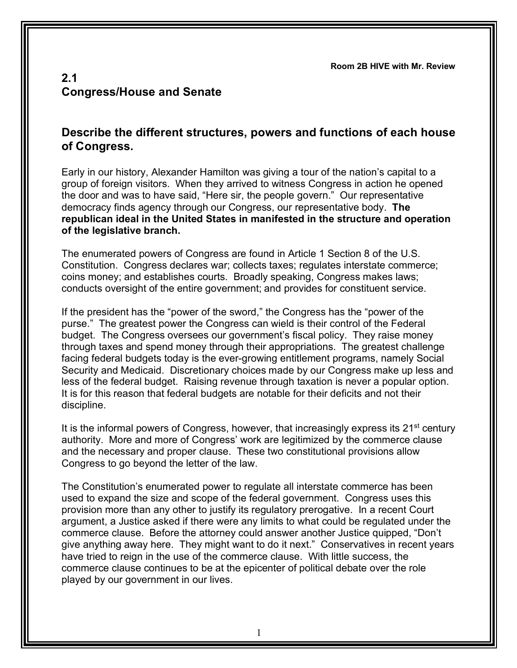**Room 2B HIVE with Mr. Review**

## **2.1 Congress/House and Senate**

## **Describe the different structures, powers and functions of each house of Congress.**

Early in our history, Alexander Hamilton was giving a tour of the nation's capital to a group of foreign visitors. When they arrived to witness Congress in action he opened the door and was to have said, "Here sir, the people govern." Our representative democracy finds agency through our Congress, our representative body. **The republican ideal in the United States in manifested in the structure and operation of the legislative branch.**

The enumerated powers of Congress are found in Article 1 Section 8 of the U.S. Constitution. Congress declares war; collects taxes; regulates interstate commerce; coins money; and establishes courts. Broadly speaking, Congress makes laws; conducts oversight of the entire government; and provides for constituent service.

If the president has the "power of the sword," the Congress has the "power of the purse." The greatest power the Congress can wield is their control of the Federal budget. The Congress oversees our government's fiscal policy. They raise money through taxes and spend money through their appropriations. The greatest challenge facing federal budgets today is the ever-growing entitlement programs, namely Social Security and Medicaid. Discretionary choices made by our Congress make up less and less of the federal budget. Raising revenue through taxation is never a popular option. It is for this reason that federal budgets are notable for their deficits and not their discipline.

It is the informal powers of Congress, however, that increasingly express its  $21<sup>st</sup>$  century authority. More and more of Congress' work are legitimized by the commerce clause and the necessary and proper clause. These two constitutional provisions allow Congress to go beyond the letter of the law.

The Constitution's enumerated power to regulate all interstate commerce has been used to expand the size and scope of the federal government. Congress uses this provision more than any other to justify its regulatory prerogative. In a recent Court argument, a Justice asked if there were any limits to what could be regulated under the commerce clause. Before the attorney could answer another Justice quipped, "Don't give anything away here. They might want to do it next." Conservatives in recent years have tried to reign in the use of the commerce clause. With little success, the commerce clause continues to be at the epicenter of political debate over the role played by our government in our lives.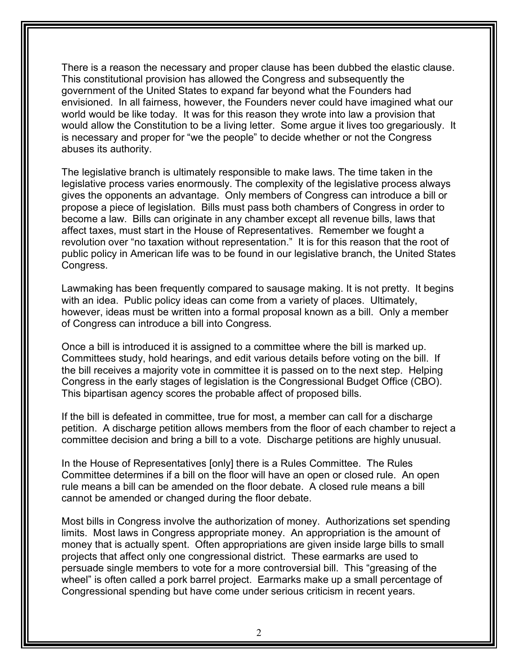There is a reason the necessary and proper clause has been dubbed the elastic clause. This constitutional provision has allowed the Congress and subsequently the government of the United States to expand far beyond what the Founders had envisioned. In all fairness, however, the Founders never could have imagined what our world would be like today. It was for this reason they wrote into law a provision that would allow the Constitution to be a living letter. Some argue it lives too gregariously. It is necessary and proper for "we the people" to decide whether or not the Congress abuses its authority.

The legislative branch is ultimately responsible to make laws. The time taken in the legislative process varies enormously. The complexity of the legislative process always gives the opponents an advantage. Only members of Congress can introduce a bill or propose a piece of legislation. Bills must pass both chambers of Congress in order to become a law. Bills can originate in any chamber except all revenue bills, laws that affect taxes, must start in the House of Representatives. Remember we fought a revolution over "no taxation without representation." It is for this reason that the root of public policy in American life was to be found in our legislative branch, the United States Congress.

Lawmaking has been frequently compared to sausage making. It is not pretty. It begins with an idea. Public policy ideas can come from a variety of places. Ultimately, however, ideas must be written into a formal proposal known as a bill. Only a member of Congress can introduce a bill into Congress.

Once a bill is introduced it is assigned to a committee where the bill is marked up. Committees study, hold hearings, and edit various details before voting on the bill. If the bill receives a majority vote in committee it is passed on to the next step. Helping Congress in the early stages of legislation is the Congressional Budget Office (CBO). This bipartisan agency scores the probable affect of proposed bills.

If the bill is defeated in committee, true for most, a member can call for a discharge petition. A discharge petition allows members from the floor of each chamber to reject a committee decision and bring a bill to a vote. Discharge petitions are highly unusual.

In the House of Representatives [only] there is a Rules Committee. The Rules Committee determines if a bill on the floor will have an open or closed rule. An open rule means a bill can be amended on the floor debate. A closed rule means a bill cannot be amended or changed during the floor debate.

Most bills in Congress involve the authorization of money. Authorizations set spending limits. Most laws in Congress appropriate money. An appropriation is the amount of money that is actually spent. Often appropriations are given inside large bills to small projects that affect only one congressional district. These earmarks are used to persuade single members to vote for a more controversial bill. This "greasing of the wheel" is often called a pork barrel project. Earmarks make up a small percentage of Congressional spending but have come under serious criticism in recent years.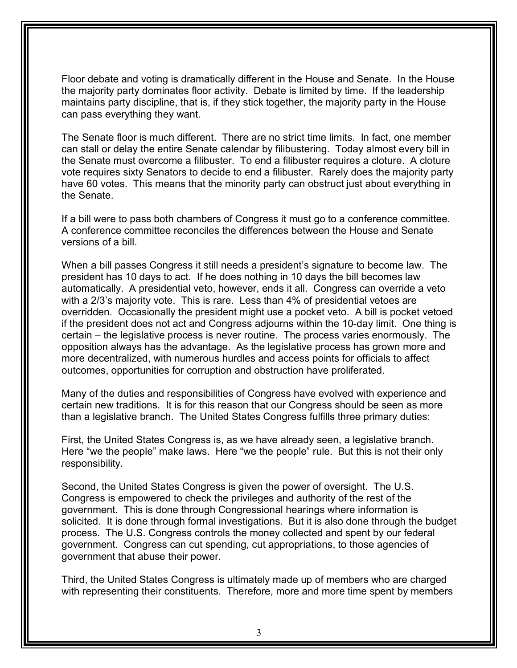Floor debate and voting is dramatically different in the House and Senate. In the House the majority party dominates floor activity. Debate is limited by time. If the leadership maintains party discipline, that is, if they stick together, the majority party in the House can pass everything they want.

The Senate floor is much different. There are no strict time limits. In fact, one member can stall or delay the entire Senate calendar by filibustering. Today almost every bill in the Senate must overcome a filibuster. To end a filibuster requires a cloture. A cloture vote requires sixty Senators to decide to end a filibuster. Rarely does the majority party have 60 votes. This means that the minority party can obstruct just about everything in the Senate.

If a bill were to pass both chambers of Congress it must go to a conference committee. A conference committee reconciles the differences between the House and Senate versions of a bill.

When a bill passes Congress it still needs a president's signature to become law. The president has 10 days to act. If he does nothing in 10 days the bill becomes law automatically. A presidential veto, however, ends it all. Congress can override a veto with a 2/3's majority vote. This is rare. Less than 4% of presidential vetoes are overridden. Occasionally the president might use a pocket veto. A bill is pocket vetoed if the president does not act and Congress adjourns within the 10-day limit. One thing is certain – the legislative process is never routine. The process varies enormously. The opposition always has the advantage. As the legislative process has grown more and more decentralized, with numerous hurdles and access points for officials to affect outcomes, opportunities for corruption and obstruction have proliferated.

Many of the duties and responsibilities of Congress have evolved with experience and certain new traditions. It is for this reason that our Congress should be seen as more than a legislative branch. The United States Congress fulfills three primary duties:

First, the United States Congress is, as we have already seen, a legislative branch. Here "we the people" make laws. Here "we the people" rule. But this is not their only responsibility.

Second, the United States Congress is given the power of oversight. The U.S. Congress is empowered to check the privileges and authority of the rest of the government. This is done through Congressional hearings where information is solicited. It is done through formal investigations. But it is also done through the budget process. The U.S. Congress controls the money collected and spent by our federal government. Congress can cut spending, cut appropriations, to those agencies of government that abuse their power.

Third, the United States Congress is ultimately made up of members who are charged with representing their constituents. Therefore, more and more time spent by members